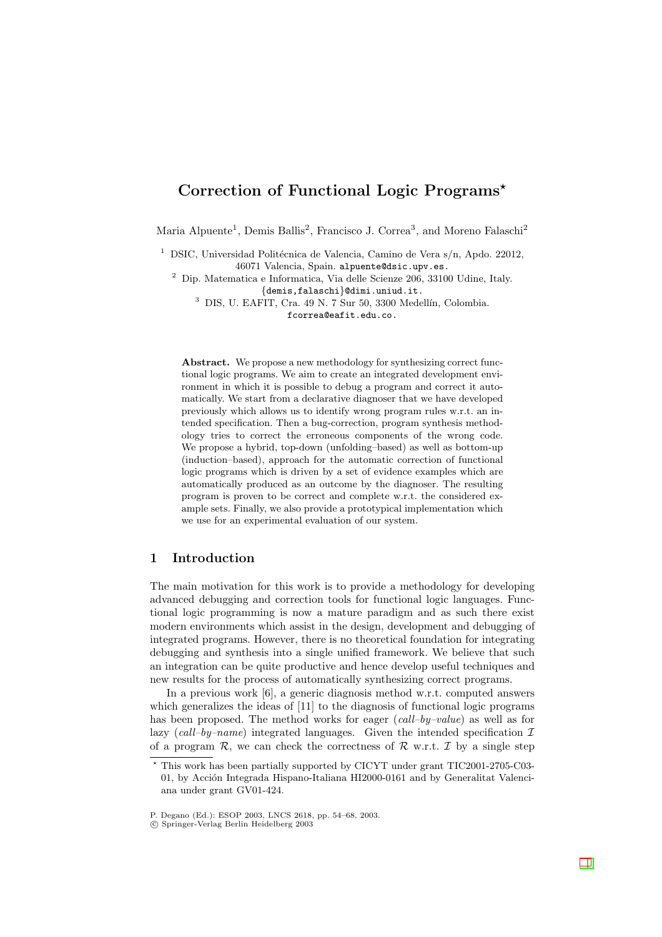# **Correction of Functional Logic Programs**

Maria Alpuente<sup>1</sup>, Demis Ballis<sup>2</sup>, Francisco J. Correa<sup>3</sup>, and Moreno Falaschi<sup>2</sup>

<sup>1</sup> DSIC, Universidad Politécnica de Valencia, Camino de Vera s/n, Apdo. 22012, 46071 Valencia, Spain. alpuente@dsic.upv.es.

<sup>2</sup> Dip. Matematica e Informatica, Via delle Scienze 206, 33100 Udine, Italy. {demis,falaschi}@dimi.uniud.it.

 $3$  DIS, U. EAFIT, Cra. 49 N. 7 Sur 50, 3300 Medellín, Colombia. fcorrea@eafit.edu.co.

**Abstract.** We propose a new methodology for synthesizing correct functional logic programs. We aim to create an integrated development environment in which it is possible to debug a program and correct it automatically. We start from a declarative diagnoser that we have developed previously which allows us to identify wrong program rules w.r.t. an intended specification. Then a bug-correction, program synthesis methodology tries to correct the erroneous components of the wrong code. We propose a hybrid, top-down (unfolding–based) as well as bottom-up (induction–based), approach for the automatic correction of functional logic programs which is driven by a set of evidence examples which are automatically produced as an outcome by the diagnoser. The resulting program is proven to be correct and complete w.r.t. the considered example sets. Finally, we also provide a prototypical implementation which we use for an experimental evaluation of our system.

### **1 Introduction**

The main motivation for this work is to provide a methodology for developing advanced debugging and correction tools for functional logic languages. Functional logic programming is now a mature paradigm and as such there exist modern environments which assist in the design, development and debugging of integrated programs. However, there is no theoretical foundation for integrating debugging and synthesis into a single unified framework. We believe that such an integration can be quite productive and hence develop useful techniques and new results for the process of automatically synthesizing correct programs.

In a previous work [6], a generic diagnosis method w.r.t. computed answers which generalizes the ideas of [11] to the diagnosis of functional logic programs has been proposed. The method works for eager (*call–by–value*) as well as for lazy  $(call-by-name)$  integrated languages. Given the intended specification  $\mathcal I$ of a program  $\mathcal{R}$ , we can check the correctness of  $\mathcal{R}$  w.r.t.  $\mathcal{I}$  by a single step

 $*$  This work has been partially supported by CICYT under grant TIC2001-2705-C03-01, by Acción Integrada Hispano-Italiana HI2000-0161 and by Generalitat Valenciana under grant GV01-424.

c Springer-Verlag Berlin Heidelberg 2003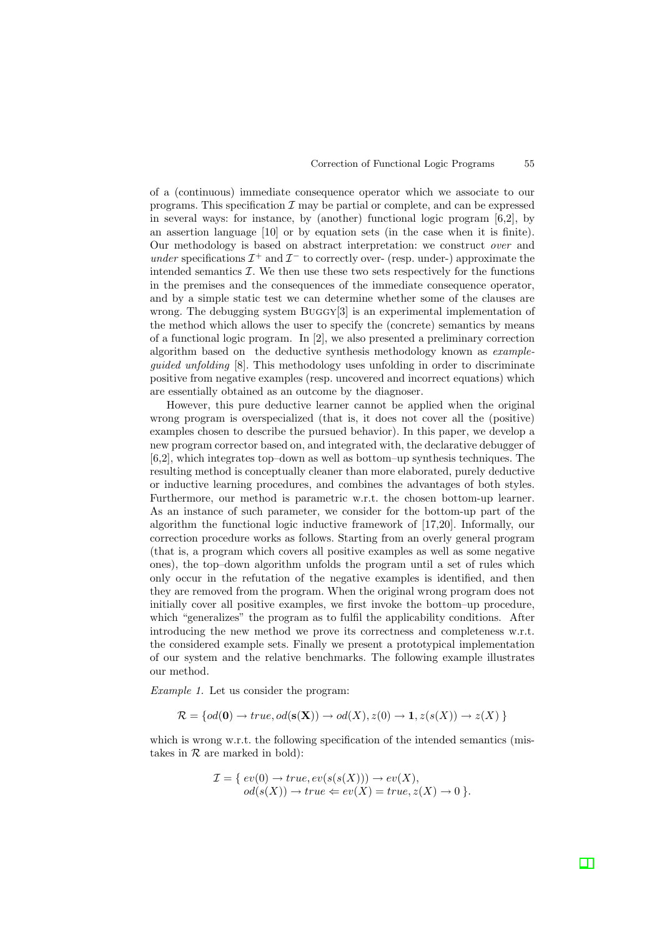of a (continuous) immediate consequence operator which we associate to our programs. This specification  $\mathcal I$  may be partial or complete, and can be expressed in several ways: for instance, by (another) functional logic program [6,2], by an assertion language [10] or by equation sets (in the case when it is finite). Our methodology is based on abstract interpretation: we construct *over* and *under* specifications  $\mathcal{I}^+$  and  $\mathcal{I}^-$  to correctly over- (resp. under-) approximate the intended semantics  $I$ . We then use these two sets respectively for the functions in the premises and the consequences of the immediate consequence operator, and by a simple static test we can determine whether some of the clauses are wrong. The debugging system  $\text{BUGGY}[3]$  is an experimental implementation of the method which allows the user to specify the (concrete) semantics by means of a functional logic program. In [2], we also presented a preliminary correction algorithm based on the deductive synthesis methodology known as *exampleguided unfolding* [8]. This methodology uses unfolding in order to discriminate positive from negative examples (resp. uncovered and incorrect equations) which are essentially obtained as an outcome by the diagnoser.

However, this pure deductive learner cannot be applied when the original wrong program is overspecialized (that is, it does not cover all the (positive) examples chosen to describe the pursued behavior). In this paper, we develop a new program corrector based on, and integrated with, the declarative debugger of [6,2], which integrates top–down as well as bottom–up synthesis techniques. The resulting method is conceptually cleaner than more elaborated, purely deductive or inductive learning procedures, and combines the advantages of both styles. Furthermore, our method is parametric w.r.t. the chosen bottom-up learner. As an instance of such parameter, we consider for the bottom-up part of the algorithm the functional logic inductive framework of [17,20]. Informally, our correction procedure works as follows. Starting from an overly general program (that is, a program which covers all positive examples as well as some negative ones), the top–down algorithm unfolds the program until a set of rules which only occur in the refutation of the negative examples is identified, and then they are removed from the program. When the original wrong program does not initially cover all positive examples, we first invoke the bottom–up procedure, which "generalizes" the program as to fulfil the applicability conditions. After introducing the new method we prove its correctness and completeness w.r.t. the considered example sets. Finally we present a prototypical implementation of our system and the relative benchmarks. The following example illustrates our method.

*Example 1.* Let us consider the program:

$$
\mathcal{R} = \{od(\mathbf{0}) \to true, od(\mathbf{s}(\mathbf{X})) \to od(X), z(0) \to \mathbf{1}, z(s(X)) \to z(X) \}
$$

which is wrong w.r.t. the following specification of the intended semantics (mistakes in  $R$  are marked in bold):

$$
\mathcal{I} = \{ ev(0) \to true, ev(s(s(X))) \to ev(X), \\ od(s(X)) \to true \Leftarrow ev(X) = true, z(X) \to 0 \}.
$$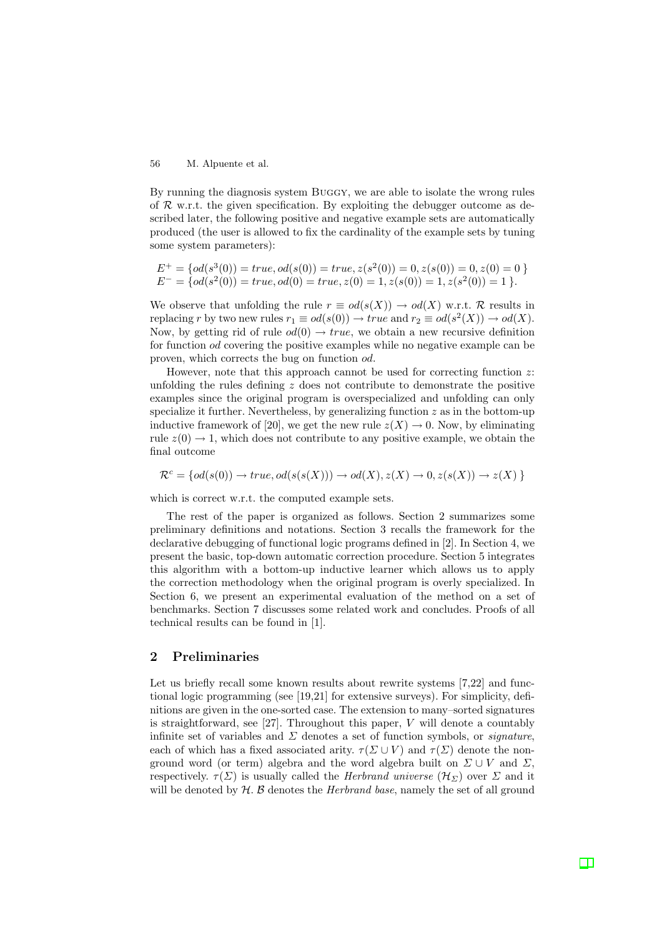By running the diagnosis system Buggy, we are able to isolate the wrong rules of  $\mathcal R$  w.r.t. the given specification. By exploiting the debugger outcome as described later, the following positive and negative example sets are automatically produced (the user is allowed to fix the cardinality of the example sets by tuning some system parameters):

$$
E^+ = \{od(s^3(0)) = true, od(s(0)) = true, z(s^2(0)) = 0, z(s(0)) = 0, z(0) = 0 \}
$$
  

$$
E^- = \{od(s^2(0)) = true, od(0) = true, z(0) = 1, z(s(0)) = 1, z(s^2(0)) = 1 \}.
$$

We observe that unfolding the rule  $r \equiv od(s(X)) \rightarrow od(X)$  w.r.t. R results in replacing r by two new rules  $r_1 \equiv od(s(0)) \rightarrow true$  and  $r_2 \equiv od(s^2(X)) \rightarrow od(X)$ . Now, by getting rid of rule  $od(0) \rightarrow true$ , we obtain a new recursive definition for function od covering the positive examples while no negative example can be proven, which corrects the bug on function od.

However, note that this approach cannot be used for correcting function  $z$ : unfolding the rules defining  $z$  does not contribute to demonstrate the positive examples since the original program is overspecialized and unfolding can only specialize it further. Nevertheless, by generalizing function  $z$  as in the bottom-up inductive framework of [20], we get the new rule  $z(X) \to 0$ . Now, by eliminating rule  $z(0) \rightarrow 1$ , which does not contribute to any positive example, we obtain the final outcome

$$
\mathcal{R}^c = \{od(s(0)) \to true, od(s(s(X))) \to od(X), z(X) \to 0, z(s(X)) \to z(X) \}
$$

which is correct w.r.t. the computed example sets.

The rest of the paper is organized as follows. Section 2 summarizes some preliminary definitions and notations. Section 3 recalls the framework for the declarative debugging of functional logic programs defined in [2]. In Section 4, we present the basic, top-down automatic correction procedure. Section 5 integrates this algorithm with a bottom-up inductive learner which allows us to apply the correction methodology when the original program is overly specialized. In Section 6, we present an experimental evaluation of the method on a set of benchmarks. Section 7 discusses some related work and concludes. Proofs of all technical results can be found in [1].

### **2 Preliminaries**

Let us briefly recall some known results about rewrite systems  $[7,22]$  and functional logic programming (see [19,21] for extensive surveys). For simplicity, definitions are given in the one-sorted case. The extension to many–sorted signatures is straightforward, see [27]. Throughout this paper,  $V$  will denote a countably infinite set of variables and  $\Sigma$  denotes a set of function symbols, or *signature*, each of which has a fixed associated arity.  $\tau(\Sigma \cup V)$  and  $\tau(\Sigma)$  denote the nonground word (or term) algebra and the word algebra built on  $\Sigma \cup V$  and  $\Sigma$ , respectively.  $\tau(\Sigma)$  is usually called the *Herbrand universe*  $(\mathcal{H}_{\Sigma})$  over  $\Sigma$  and it will be denoted by  $H$ . B denotes the *Herbrand base*, namely the set of all ground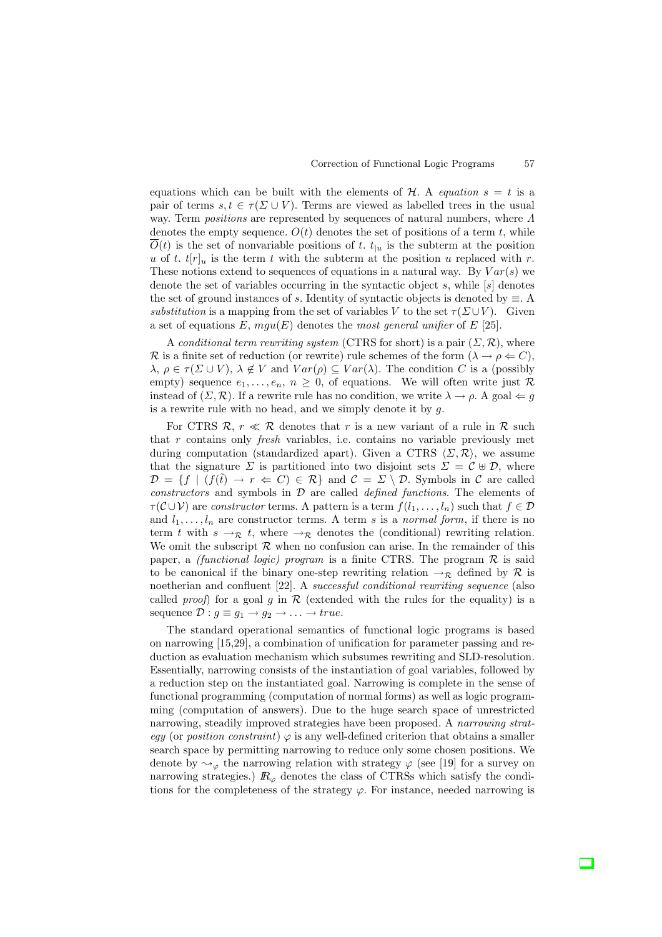equations which can be built with the elements of  $H$ . A *equation*  $s = t$  is a pair of terms  $s, t \in \tau(\Sigma \cup V)$ . Terms are viewed as labelled trees in the usual way. Term *positions* are represented by sequences of natural numbers, where Λ denotes the empty sequence.  $O(t)$  denotes the set of positions of a term t, while  $\overline{O}(t)$  is the set of nonvariable positions of t.  $t_{1u}$  is the subterm at the position u of t.  $t[r]_u$  is the term t with the subterm at the position u replaced with r. These notions extend to sequences of equations in a natural way. By  $Var(s)$  we denote the set of variables occurring in the syntactic object s, while  $|s|$  denotes the set of ground instances of s. Identity of syntactic objects is denoted by  $\equiv$ . A *substitution* is a mapping from the set of variables V to the set  $\tau(\Sigma \cup V)$ . Given a set of equations  $E$ ,  $mgu(E)$  denotes the *most general unifier* of  $E$  [25].

A *conditional term rewriting system* (CTRS for short) is a pair  $(\Sigma, \mathcal{R})$ , where R is a finite set of reduction (or rewrite) rule schemes of the form  $(\lambda \to \rho \Leftarrow C)$ ,  $\lambda, \rho \in \tau(\Sigma \cup V), \lambda \notin V$  and  $Var(\rho) \subseteq Var(\lambda)$ . The condition C is a (possibly empty) sequence  $e_1,\ldots,e_n, n \geq 0$ , of equations. We will often write just R instead of  $(\Sigma, \mathcal{R})$ . If a rewrite rule has no condition, we write  $\lambda \to \rho$ . A goal  $\Leftarrow g$ is a rewrite rule with no head, and we simply denote it by g.

For CTRS  $\mathcal{R}, r \ll \mathcal{R}$  denotes that r is a new variant of a rule in  $\mathcal{R}$  such that r contains only *fresh* variables, i.e. contains no variable previously met during computation (standardized apart). Given a CTRS  $\langle \Sigma, \mathcal{R} \rangle$ , we assume that the signature  $\Sigma$  is partitioned into two disjoint sets  $\Sigma = C \oplus \mathcal{D}$ , where  $\mathcal{D} = \{f \mid (f(\tilde{t}) \to r \Leftarrow C) \in \mathcal{R}\}\$ and  $\mathcal{C} = \Sigma \setminus \mathcal{D}$ . Symbols in  $\mathcal{C}$  are called *constructors* and symbols in D are called *defined functions*. The elements of  $\tau(\mathcal{C}\cup\mathcal{V})$  are *constructor* terms. A pattern is a term  $f(l_1,\ldots,l_n)$  such that  $f\in\mathcal{D}$ and  $l_1, \ldots, l_n$  are constructor terms. A term s is a *normal form*, if there is no term t with  $s \to_{\mathcal{R}} t$ , where  $\to_{\mathcal{R}}$  denotes the (conditional) rewriting relation. We omit the subscript  $\mathcal R$  when no confusion can arise. In the remainder of this paper, a *(functional logic) program* is a finite CTRS. The program R is said to be canonical if the binary one-step rewriting relation  $\rightarrow_{\mathcal{R}}$  defined by  $\mathcal R$  is noetherian and confluent [22]. A *successful conditional rewriting sequence* (also called *proof*) for a goal g in  $\mathcal R$  (extended with the rules for the equality) is a sequence  $\mathcal{D}: g \equiv g_1 \rightarrow g_2 \rightarrow \ldots \rightarrow true$ .

The standard operational semantics of functional logic programs is based on narrowing [15,29], a combination of unification for parameter passing and reduction as evaluation mechanism which subsumes rewriting and SLD-resolution. Essentially, narrowing consists of the instantiation of goal variables, followed by a reduction step on the instantiated goal. Narrowing is complete in the sense of functional programming (computation of normal forms) as well as logic programming (computation of answers). Due to the huge search space of unrestricted narrowing, steadily improved strategies have been proposed. A *narrowing strategy* (or *position constraint*)  $\varphi$  is any well-defined criterion that obtains a smaller search space by permitting narrowing to reduce only some chosen positions. We denote by  $\sim_{\varphi}$  the narrowing relation with strategy  $\varphi$  (see [19] for a survey on narrowing strategies.)  $\mathbb{R}_{\varphi}$  denotes the class of CTRSs which satisfy the conditions for the completeness of the strategy  $\varphi$ . For instance, needed narrowing is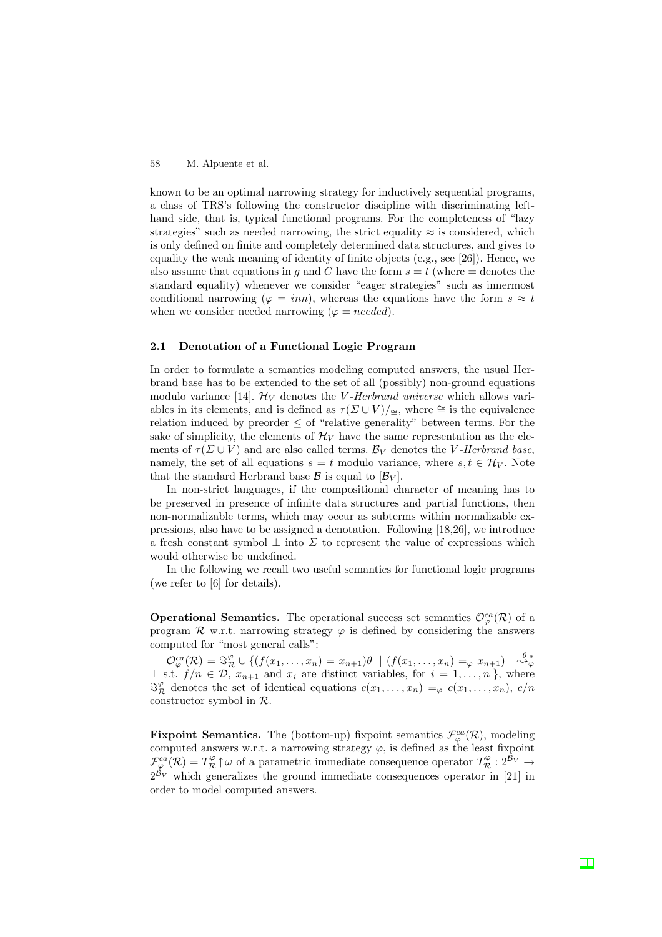known to be an optimal narrowing strategy for inductively sequential programs, a class of TRS's following the constructor discipline with discriminating lefthand side, that is, typical functional programs. For the completeness of "lazy strategies" such as needed narrowing, the strict equality  $\approx$  is considered, which is only defined on finite and completely determined data structures, and gives to equality the weak meaning of identity of finite objects (e.g., see [26]). Hence, we also assume that equations in g and C have the form  $s = t$  (where  $=$  denotes the standard equality) whenever we consider "eager strategies" such as innermost conditional narrowing ( $\varphi = inn$ ), whereas the equations have the form  $s \approx t$ when we consider needed narrowing ( $\varphi = needed$ ).

### **2.1 Denotation of a Functional Logic Program**

In order to formulate a semantics modeling computed answers, the usual Herbrand base has to be extended to the set of all (possibly) non-ground equations modulo variance [14].  $\mathcal{H}_V$  denotes the V*-Herbrand universe* which allows variables in its elements, and is defined as  $\tau(\Sigma \cup V)/_{\cong}$ , where  $\cong$  is the equivalence relation induced by preorder  $\leq$  of "relative generality" between terms. For the sake of simplicity, the elements of  $\mathcal{H}_V$  have the same representation as the elements of  $\tau(\Sigma \cup V)$  and are also called terms.  $\mathcal{B}_V$  denotes the V-Herbrand base, namely, the set of all equations  $s = t$  modulo variance, where  $s, t \in \mathcal{H}_V$ . Note that the standard Herbrand base  $\mathcal{B}$  is equal to  $|\mathcal{B}_V|$ .

In non-strict languages, if the compositional character of meaning has to be preserved in presence of infinite data structures and partial functions, then non-normalizable terms, which may occur as subterms within normalizable expressions, also have to be assigned a denotation. Following [18,26], we introduce a fresh constant symbol  $\perp$  into  $\Sigma$  to represent the value of expressions which would otherwise be undefined.

In the following we recall two useful semantics for functional logic programs (we refer to [6] for details).

**Operational Semantics.** The operational success set semantics  $\mathcal{O}_{\varphi}^{ca}(\mathcal{R})$  of a program  $\mathcal R$  w.r.t. narrowing strategy  $\varphi$  is defined by considering the answers computed for "most general calls":

 $\mathcal{O}_{\varphi}^{ca}(\mathcal{R}) = \Im_{\mathcal{R}}^{\varphi} \cup \{ (f(x_1,\ldots,x_n) = x_{n+1})\theta \mid (f(x_1,\ldots,x_n) =_{\varphi} x_{n+1}) \stackrel{\theta}{\sim_{\varphi}^{\varphi}}$ T s.t.  $f/n \in \mathcal{D}$ ,  $x_{n+1}$  and  $x_i$  are distinct variables, for  $i = 1, ..., n$ , where  $\Im_{\mathcal{R}}^{\varphi}$  denotes the set of identical equations  $c(x_1,...,x_n) =_{\varphi} c(x_1,...,x_n)$ ,  $c/n$ constructor symbol in R.

**Fixpoint Semantics.** The (bottom-up) fixpoint semantics  $\mathcal{F}_{\varphi}^{ca}(\mathcal{R})$ , modeling computed answers w.r.t. a narrowing strategy  $\varphi$ , is defined as the least fixpoint  $\mathcal{F}_{\varphi}^{ca}(\mathcal{R}) = T_{\mathcal{R}}^{\varphi} \uparrow \omega$  of a parametric immediate consequence operator  $T_{\mathcal{R}}^{\varphi} : 2^{\mathcal{B}_{V}} \to$  $2^{\dot{\mathcal{B}}_V}$  which generalizes the ground immediate consequences operator in [21] in order to model computed answers.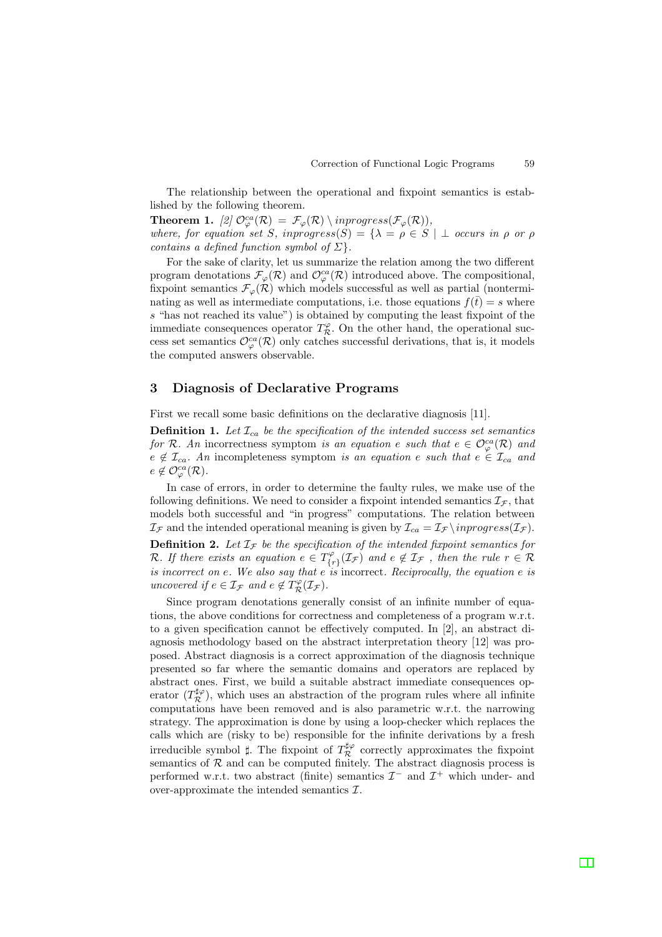The relationship between the operational and fixpoint semantics is established by the following theorem.

**Theorem 1.** [2]  $\mathcal{O}_{\varphi}^{ca}(\mathcal{R}) = \mathcal{F}_{\varphi}(\mathcal{R}) \setminus in progress(\mathcal{F}_{\varphi}(\mathcal{R})),$ *where, for equation set* S, inprogress(S) = { $\lambda = \rho \in S \perp \emptyset$  *occurs in*  $\rho$  *or*  $\rho$ *contains a defined function symbol of*  $\Sigma$ *}.* 

For the sake of clarity, let us summarize the relation among the two different program denotations  $\mathcal{F}_{\varphi}(\mathcal{R})$  and  $\mathcal{O}_{\varphi}^{ca}(\mathcal{R})$  introduced above. The compositional, fixpoint semantics  $\mathcal{F}_{\varphi}(\mathcal{R})$  which models successful as well as partial (nonterminating as well as intermediate computations, i.e. those equations  $f(\bar{t}) = s$  where s "has not reached its value") is obtained by computing the least fixpoint of the immediate consequences operator  $T_{\mathcal{R}}^{\varphi}$ . On the other hand, the operational success set semantics  $\mathcal{O}_{\varphi}^{ca}(\mathcal{R})$  only catches successful derivations, that is, it models the computed answers observable.

### **3 Diagnosis of Declarative Programs**

First we recall some basic definitions on the declarative diagnosis [11].

**Definition 1.** Let  $\mathcal{I}_{ca}$  be the specification of the intended success set semantics *for* R. An incorrectness symptom *is an equation* e *such that*  $e \in \mathcal{O}_{\varphi}^{ca}(\mathcal{R})$  and  $e \notin \mathcal{I}_{ca}$ . An incompleteness symptom *is an equation* e *such that*  $e \in \mathcal{I}_{ca}$  *and*  $e \notin \mathcal{O}_{\varphi}^{ca}(\mathcal{R}).$ 

In case of errors, in order to determine the faulty rules, we make use of the following definitions. We need to consider a fixpoint intended semantics  $\mathcal{I}_{\mathcal{F}}$ , that models both successful and "in progress" computations. The relation between  $\mathcal{I}_{\mathcal{F}}$  and the intended operational meaning is given by  $\mathcal{I}_{ca} = \mathcal{I}_{\mathcal{F}} \setminus in progress(\mathcal{I}_{\mathcal{F}}).$ **Definition 2.** Let  $I_F$  be the specification of the intended fixpoint semantics for

R. If there exists an equation  $e \in T^{\varphi}_{\{r\}}(\mathcal{I}_{\mathcal{F}})$  and  $e \notin \mathcal{I}_{\mathcal{F}}$ , then the rule  $r \in \mathcal{R}$ *is incorrect on* e*. We also say that* e *is* incorrect*. Reciprocally, the equation* e *is uncovered if*  $e \in \mathcal{I}_{\mathcal{F}}$  *and*  $e \notin T_{\mathcal{R}}^{\varphi}(\mathcal{I}_{\mathcal{F}})$ *.* 

Since program denotations generally consist of an infinite number of equations, the above conditions for correctness and completeness of a program w.r.t. to a given specification cannot be effectively computed. In [2], an abstract diagnosis methodology based on the abstract interpretation theory [12] was proposed. Abstract diagnosis is a correct approximation of the diagnosis technique presented so far where the semantic domains and operators are replaced by abstract ones. First, we build a suitable abstract immediate consequences operator  $(T^{\sharp \varphi}_\mathcal{R})$ , which uses an abstraction of the program rules where all infinite computations have been removed and is also parametric w.r.t. the narrowing strategy. The approximation is done by using a loop-checker which replaces the calls which are (risky to be) responsible for the infinite derivations by a fresh irreducible symbol  $\sharp$ . The fixpoint of  $T^{\sharp\varphi}_{\mathcal{R}}$  correctly approximates the fixpoint semantics of  $R$  and can be computed finitely. The abstract diagnosis process is performed w.r.t. two abstract (finite) semantics  $\mathcal{I}^-$  and  $\mathcal{I}^+$  which under- and over-approximate the intended semantics  $\mathcal{I}$ .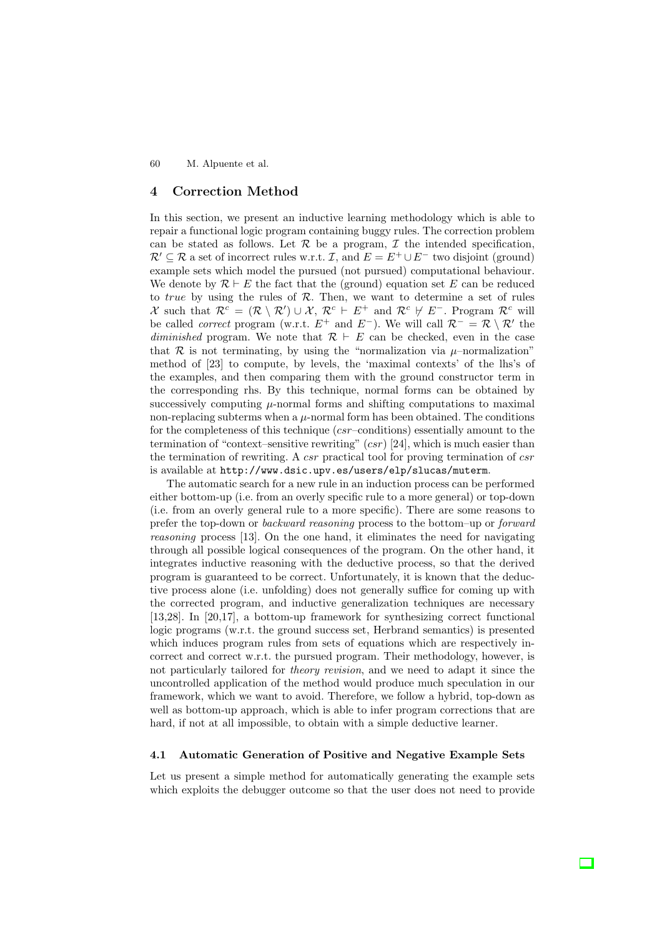## **4 Correction Method**

In this section, we present an inductive learning methodology which is able to repair a functional logic program containing buggy rules. The correction problem can be stated as follows. Let  $\mathcal R$  be a program,  $\mathcal I$  the intended specification,  $\mathcal{R}' \subseteq \mathcal{R}$  a set of incorrect rules w.r.t. *I*, and  $E = E^+ \cup E^-$  two disjoint (ground) example sets which model the pursued (not pursued) computational behaviour. We denote by  $\mathcal{R} \vdash E$  the fact that the (ground) equation set E can be reduced to true by using the rules of  $R$ . Then, we want to determine a set of rules X such that  $\mathcal{R}^c = (\mathcal{R} \setminus \mathcal{R}') \cup \mathcal{X}, \mathcal{R}^c \vdash E^+$  and  $\mathcal{R}^c \not\vdash E^-$ . Program  $\mathcal{R}^c$  will be called *correct* program (w.r.t.  $E^+$  and  $E^-$ ). We will call  $\mathcal{R}^- = \mathcal{R} \setminus \mathcal{R}'$  the *diminished* program. We note that  $\mathcal{R} \vdash E$  can be checked, even in the case that  $R$  is not terminating, by using the "normalization via  $\mu$ –normalization" method of [23] to compute, by levels, the 'maximal contexts' of the lhs's of the examples, and then comparing them with the ground constructor term in the corresponding rhs. By this technique, normal forms can be obtained by successively computing  $\mu$ -normal forms and shifting computations to maximal non-replacing subterms when a  $\mu$ -normal form has been obtained. The conditions for the completeness of this technique (csr-conditions) essentially amount to the termination of "context-sensitive rewriting"  $(csr)$  [24], which is much easier than the termination of rewriting. A csr practical tool for proving termination of csr is available at http://www.dsic.upv.es/users/elp/slucas/muterm.

The automatic search for a new rule in an induction process can be performed either bottom-up (i.e. from an overly specific rule to a more general) or top-down (i.e. from an overly general rule to a more specific). There are some reasons to prefer the top-down or *backward reasoning* process to the bottom–up or *forward reasoning* process [13]. On the one hand, it eliminates the need for navigating through all possible logical consequences of the program. On the other hand, it integrates inductive reasoning with the deductive process, so that the derived program is guaranteed to be correct. Unfortunately, it is known that the deductive process alone (i.e. unfolding) does not generally suffice for coming up with the corrected program, and inductive generalization techniques are necessary [13,28]. In [20,17], a bottom-up framework for synthesizing correct functional logic programs (w.r.t. the ground success set, Herbrand semantics) is presented which induces program rules from sets of equations which are respectively incorrect and correct w.r.t. the pursued program. Their methodology, however, is not particularly tailored for *theory revision*, and we need to adapt it since the uncontrolled application of the method would produce much speculation in our framework, which we want to avoid. Therefore, we follow a hybrid, top-down as well as bottom-up approach, which is able to infer program corrections that are hard, if not at all impossible, to obtain with a simple deductive learner.

### **4.1 Automatic Generation of Positive and Negative Example Sets**

Let us present a simple method for automatically generating the example sets which exploits the debugger outcome so that the user does not need to provide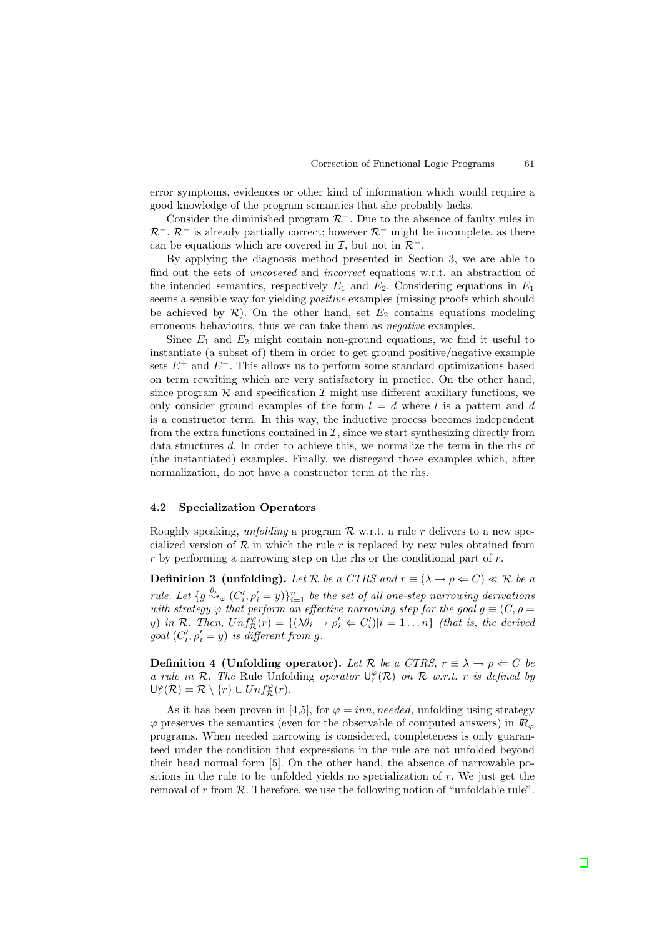error symptoms, evidences or other kind of information which would require a good knowledge of the program semantics that she probably lacks.

Consider the diminished program  $\mathcal{R}^-$ . Due to the absence of faulty rules in  $\mathcal{R}^-$ ,  $\mathcal{R}^-$  is already partially correct; however  $\mathcal{R}^-$  might be incomplete, as there can be equations which are covered in  $\mathcal{I}$ , but not in  $\mathcal{R}^-$ .

By applying the diagnosis method presented in Section 3, we are able to find out the sets of *uncovered* and *incorrect* equations w.r.t. an abstraction of the intended semantics, respectively  $E_1$  and  $E_2$ . Considering equations in  $E_1$ seems a sensible way for yielding *positive* examples (missing proofs which should be achieved by  $\mathcal{R}$ ). On the other hand, set  $E_2$  contains equations modeling erroneous behaviours, thus we can take them as *negative* examples.

Since  $E_1$  and  $E_2$  might contain non-ground equations, we find it useful to instantiate (a subset of) them in order to get ground positive/negative example sets  $E^+$  and  $E^-$ . This allows us to perform some standard optimizations based on term rewriting which are very satisfactory in practice. On the other hand, since program  $\mathcal R$  and specification  $\mathcal I$  might use different auxiliary functions, we only consider ground examples of the form  $l = d$  where l is a pattern and d is a constructor term. In this way, the inductive process becomes independent from the extra functions contained in  $\mathcal I$ , since we start synthesizing directly from data structures d. In order to achieve this, we normalize the term in the rhs of (the instantiated) examples. Finally, we disregard those examples which, after normalization, do not have a constructor term at the rhs.

#### **4.2 Specialization Operators**

Roughly speaking, *unfolding* a program R w.r.t. a rule r delivers to a new specialized version of  $R$  in which the rule r is replaced by new rules obtained from r by performing a narrowing step on the rhs or the conditional part of  $r$ .

**Definition 3 (unfolding).** Let R be a CTRS and  $r \equiv (\lambda \rightarrow \rho \Leftarrow C) \ll R$  be a *rule. Let*  $\{g \stackrel{\theta_i}{\leadsto}_{\varphi} (C'_i, \rho'_i = y)\}_{i=1}^n$  *be the set of all one-step narrowing derivations with strategy*  $\varphi$  *that perform an effective narrowing step for the goal*  $g \equiv (C, \rho =$ y) in R. Then,  $Unf^{\varphi}_R(r) = \{(\lambda \theta_i \rightarrow \rho'_i \Leftarrow C'_i)|i = 1...n\}$  *(that is, the derived*  $goal (C'_i, \rho'_i = y)$  *is different from g.* 

**Definition 4 (Unfolding operator).** *Let*  $\mathcal{R}$  *be a CTRS,*  $r \equiv \lambda \rightarrow \rho \Leftarrow C$  *be a rule in*  $\mathcal{R}$ . The Rule Unfolding *operator*  $\mathsf{U}_r^{\varphi}(\mathcal{R})$  *on*  $\mathcal{R}$  *w.r.t. r is defined by*  $\mathsf{U}_r^{\varphi}(\mathcal{R}) = \mathcal{R} \setminus \{r\} \cup Unf_{\mathcal{R}}^{\varphi}(r).$ 

As it has been proven in [4,5], for  $\varphi = inn$ , needed, unfolding using strategy  $\varphi$  preserves the semantics (even for the observable of computed answers) in  $I\!R_{\varphi}$ programs. When needed narrowing is considered, completeness is only guaranteed under the condition that expressions in the rule are not unfolded beyond their head normal form [5]. On the other hand, the absence of narrowable positions in the rule to be unfolded yields no specialization of  $r$ . We just get the removal of r from  $\mathcal R$ . Therefore, we use the following notion of "unfoldable rule".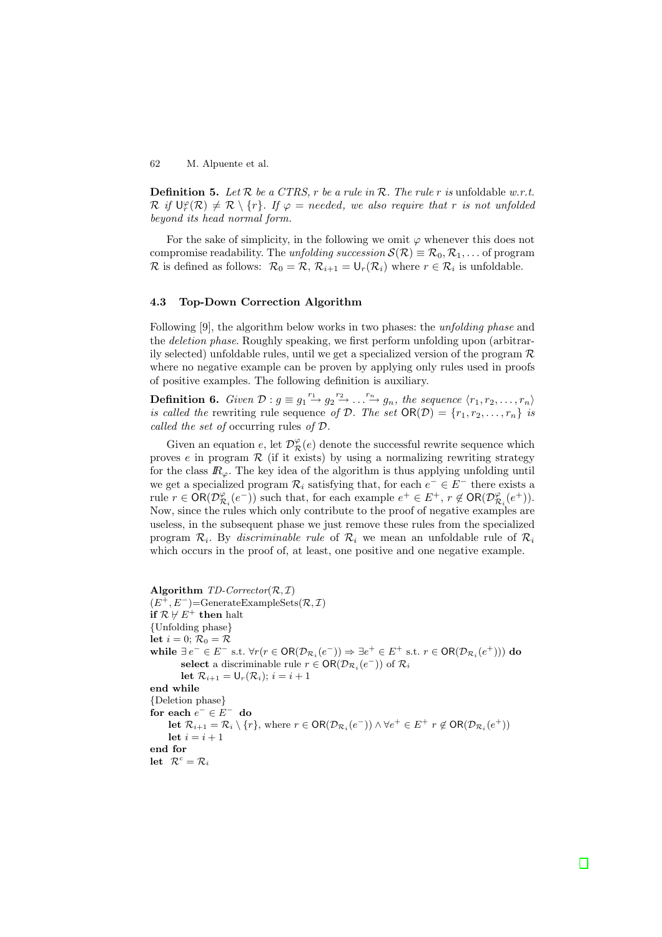**Definition 5.** *Let* R *be a CTRS,* r *be a rule in* R*. The rule* r *is* unfoldable *w.r.t.*  $\mathcal{R}$  if  $\mathsf{U}_r^{\varphi}(\mathcal{R}) \neq \mathcal{R} \setminus \{r\}$ . If  $\varphi = \text{needed}, \text{ we also require that } r \text{ is not unfolded}$ *beyond its head normal form.*

For the sake of simplicity, in the following we omit  $\varphi$  whenever this does not compromise readability. The *unfolding succession*  $\mathcal{S}(\mathcal{R}) \equiv \mathcal{R}_0, \mathcal{R}_1, \ldots$  of program R is defined as follows:  $\mathcal{R}_0 = \mathcal{R}, \mathcal{R}_{i+1} = \mathsf{U}_r(\mathcal{R}_i)$  where  $r \in \mathcal{R}_i$  is unfoldable.

### **4.3 Top-Down Correction Algorithm**

Following [9], the algorithm below works in two phases: the *unfolding phase* and the *deletion phase*. Roughly speaking, we first perform unfolding upon (arbitrarily selected) unfoldable rules, until we get a specialized version of the program  $\mathcal{R}$ where no negative example can be proven by applying only rules used in proofs of positive examples. The following definition is auxiliary.

**Definition 6.** *Given*  $\mathcal{D}: g \equiv g_1 \stackrel{r_1}{\rightarrow} g_2 \stackrel{r_2}{\rightarrow} \dots \stackrel{r_n}{\rightarrow} g_n$ , the sequence  $\langle r_1, r_2, \dots, r_n \rangle$ *is called the* rewriting rule sequence *of*  $D$ *. The set*  $OR(D) = \{r_1, r_2, \ldots, r_n\}$  *is called the set of* occurring rules *of* D*.*

Given an equation  $e$ , let  $\mathcal{D}^{\varphi}_\mathcal{R}(e)$  denote the successful rewrite sequence which proves  $e$  in program  $R$  (if it exists) by using a normalizing rewriting strategy for the class  $\mathbb{R}_{\varphi}$ . The key idea of the algorithm is thus applying unfolding until we get a specialized program  $\mathcal{R}_i$  satisfying that, for each  $e^- \in E^-$  there exists a rule  $r \in \text{OR}(\mathcal{D}^{\varphi}_{\mathcal{R}_i}(e^-))$  such that, for each example  $e^+ \in E^+$ ,  $r \notin \text{OR}(\mathcal{D}^{\varphi}_{\mathcal{R}_i}(e^+))$ . Now, since the rules which only contribute to the proof of negative examples are useless, in the subsequent phase we just remove these rules from the specialized program  $\mathcal{R}_i$ . By *discriminable rule* of  $\mathcal{R}_i$  we mean an unfoldable rule of  $\mathcal{R}_i$ which occurs in the proof of, at least, one positive and one negative example.

**Algorithm**  $TD-Corrector(\mathcal{R}, \mathcal{I})$  $(E^+, E^-)=$ GenerateExampleSets $(\mathcal{R}, \mathcal{I})$  $\textbf{if} \ \mathcal{R} \not \vdash E^+ \ \textbf{then } \text{halt}$ {Unfolding phase} **let**  $i = 0$ ;  $\mathcal{R}_0 = \mathcal{R}$ **while**  $\exists e^- \in E^-$  s.t.  $\forall r (r \in \text{OR}(\mathcal{D}_{\mathcal{R}_i}(e^-)) \Rightarrow \exists e^+ \in E^+$  s.t.  $r \in \text{OR}(\mathcal{D}_{\mathcal{R}_i}(e^+))$  **do select** a discriminable rule  $r \in OR(\mathcal{D}_{\mathcal{R}_i}(e^-))$  of  $\mathcal{R}_i$ **let**  $\mathcal{R}_{i+1} = \mathsf{U}_r(\mathcal{R}_i); i = i+1$ **end while** {Deletion phase} for each  $e^- \in E^- \,$  do **let**  $\mathcal{R}_{i+1} = \mathcal{R}_i \setminus \{r\}$ , where  $r \in \text{OR}(\mathcal{D}_{\mathcal{R}_i}(e^-)) \wedge \forall e^+ \in E^+ \ r \notin \text{OR}(\mathcal{D}_{\mathcal{R}_i}(e^+))$ **let**  $i = i + 1$ **end for let**  $\mathcal{R}^c = \mathcal{R}_i$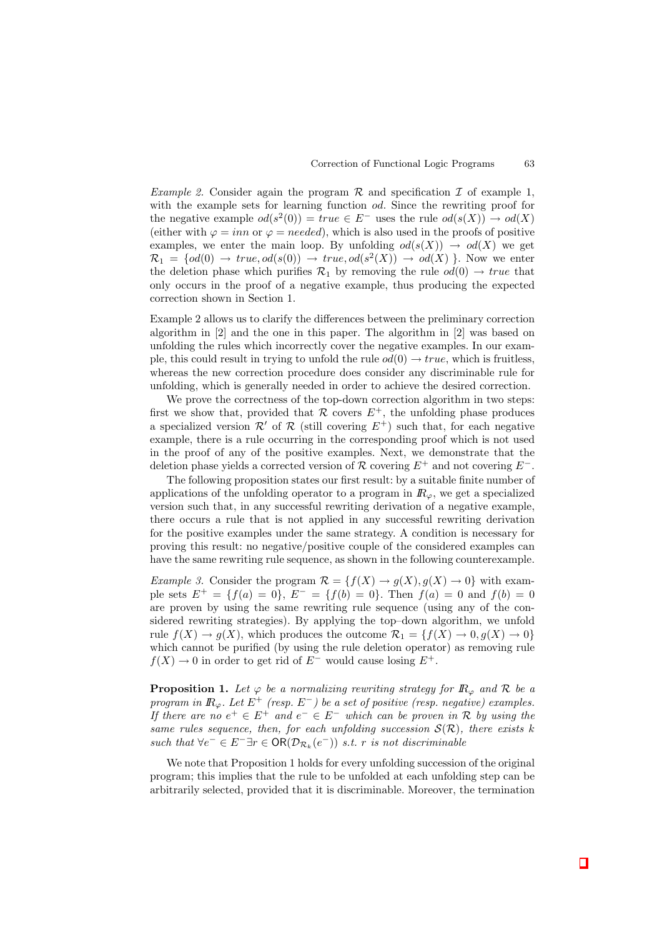*Example 2.* Consider again the program  $\mathcal R$  and specification  $\mathcal I$  of example 1, with the example sets for learning function *od*. Since the rewriting proof for the negative example  $od(s^2(0)) = true \in E^-$  uses the rule  $od(s(X)) \to od(X)$ (either with  $\varphi = inn$  or  $\varphi = needed$ ), which is also used in the proofs of positive examples, we enter the main loop. By unfolding  $od(s(X)) \rightarrow od(X)$  we get  $\mathcal{R}_1 = \{od(0) \rightarrow true, od(s(0)) \rightarrow true, od(s^2(X)) \rightarrow od(X) \}$ . Now we enter the deletion phase which purifies  $\mathcal{R}_1$  by removing the rule  $od(0) \rightarrow true$  that only occurs in the proof of a negative example, thus producing the expected correction shown in Section 1.

Example 2 allows us to clarify the differences between the preliminary correction algorithm in [2] and the one in this paper. The algorithm in [2] was based on unfolding the rules which incorrectly cover the negative examples. In our example, this could result in trying to unfold the rule  $od(0) \rightarrow true$ , which is fruitless, whereas the new correction procedure does consider any discriminable rule for unfolding, which is generally needed in order to achieve the desired correction.

We prove the correctness of the top-down correction algorithm in two steps: first we show that, provided that  $\mathcal R$  covers  $E^+$ , the unfolding phase produces a specialized version  $\mathcal{R}'$  of  $\mathcal{R}$  (still covering  $E^+$ ) such that, for each negative example, there is a rule occurring in the corresponding proof which is not used in the proof of any of the positive examples. Next, we demonstrate that the deletion phase yields a corrected version of R covering  $E^+$  and not covering  $E^-$ .

The following proposition states our first result: by a suitable finite number of applications of the unfolding operator to a program in  $\mathbb{R}_{\varphi}$ , we get a specialized version such that, in any successful rewriting derivation of a negative example, there occurs a rule that is not applied in any successful rewriting derivation for the positive examples under the same strategy. A condition is necessary for proving this result: no negative/positive couple of the considered examples can have the same rewriting rule sequence, as shown in the following counterexample.

*Example 3.* Consider the program  $\mathcal{R} = \{f(X) \to g(X), g(X) \to 0\}$  with example sets  $E^+ = \{f(a) = 0\}, E^- = \{f(b) = 0\}.$  Then  $f(a) = 0$  and  $f(b) = 0$ are proven by using the same rewriting rule sequence (using any of the considered rewriting strategies). By applying the top–down algorithm, we unfold rule  $f(X) \to g(X)$ , which produces the outcome  $\mathcal{R}_1 = \{f(X) \to 0, g(X) \to 0\}$ which cannot be purified (by using the rule deletion operator) as removing rule  $f(X) \to 0$  in order to get rid of  $E^-$  would cause losing  $E^+$ .

**Proposition 1.** Let  $\varphi$  be a normalizing rewriting strategy for  $\mathbb{R}_{\varphi}$  and  $\mathcal{R}$  be a *program in*  $\mathbb{R}_{\varphi}$ . Let  $E^+$  (resp.  $E^-$ ) be a set of positive (resp. negative) examples. *If there are no*  $e^+ \in E^+$  *and*  $e^- \in E^-$  *which can be proven in*  $\mathcal R$  *by using the same rules sequence, then, for each unfolding succession*  $S(\mathcal{R})$ *, there exists* k *such that*  $\forall e^- \in E^- \exists r \in OR(\mathcal{D}_{\mathcal{R}_k}(e^-))$  *s.t. r is not discriminable* 

We note that Proposition 1 holds for every unfolding succession of the original program; this implies that the rule to be unfolded at each unfolding step can be arbitrarily selected, provided that it is discriminable. Moreover, the termination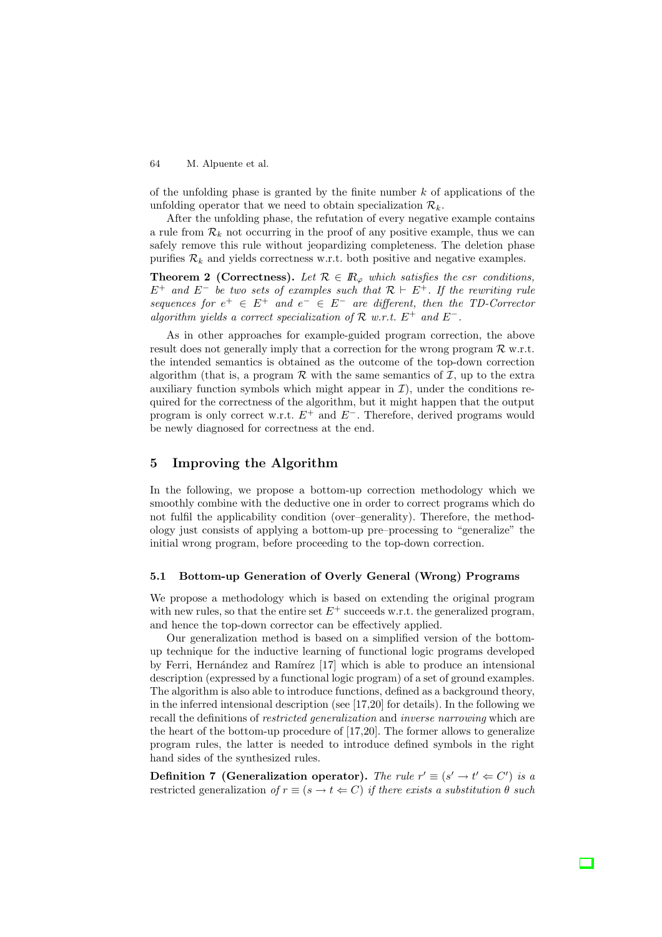of the unfolding phase is granted by the finite number  $k$  of applications of the unfolding operator that we need to obtain specialization  $\mathcal{R}_k$ .

After the unfolding phase, the refutation of every negative example contains a rule from  $\mathcal{R}_k$  not occurring in the proof of any positive example, thus we can safely remove this rule without jeopardizing completeness. The deletion phase purifies  $\mathcal{R}_k$  and yields correctness w.r.t. both positive and negative examples.

**Theorem 2 (Correctness).** Let  $\mathcal{R} \in \mathbb{R}_{\varphi}$  which satisfies the csr conditions,  $E^+$  *and*  $E^-$  *be two sets of examples such that*  $\mathcal{R} \vdash E^+$ *. If the rewriting rule sequences for*  $e^+ \in E^+$  *and*  $e^- \in E^-$  *are different, then the TD-Corrector algorithm yields a correct specialization of*  $\mathcal{R}$  *w.r.t.*  $E^+$  *and*  $E^-$ .

As in other approaches for example-guided program correction, the above result does not generally imply that a correction for the wrong program  $\mathcal{R}$  w.r.t. the intended semantics is obtained as the outcome of the top-down correction algorithm (that is, a program  $\mathcal R$  with the same semantics of  $\mathcal I$ , up to the extra auxiliary function symbols which might appear in  $\mathcal{I}$ ), under the conditions required for the correctness of the algorithm, but it might happen that the output program is only correct w.r.t.  $E^+$  and  $E^-$ . Therefore, derived programs would be newly diagnosed for correctness at the end.

## **5 Improving the Algorithm**

In the following, we propose a bottom-up correction methodology which we smoothly combine with the deductive one in order to correct programs which do not fulfil the applicability condition (over–generality). Therefore, the methodology just consists of applying a bottom-up pre–processing to "generalize" the initial wrong program, before proceeding to the top-down correction.

### **5.1 Bottom-up Generation of Overly General (Wrong) Programs**

We propose a methodology which is based on extending the original program with new rules, so that the entire set  $E^+$  succeeds w.r.t. the generalized program, and hence the top-down corrector can be effectively applied.

Our generalization method is based on a simplified version of the bottomup technique for the inductive learning of functional logic programs developed by Ferri, Hernández and Ramírez [17] which is able to produce an intensional description (expressed by a functional logic program) of a set of ground examples. The algorithm is also able to introduce functions, defined as a background theory, in the inferred intensional description (see [17,20] for details). In the following we recall the definitions of *restricted generalization* and *inverse narrowing* which are the heart of the bottom-up procedure of [17,20]. The former allows to generalize program rules, the latter is needed to introduce defined symbols in the right hand sides of the synthesized rules.

**Definition 7 (Generalization operator).** The rule  $r' \equiv (s' \rightarrow t' \leftarrow C')$  is a restricted generalization *of*  $r \equiv (s \rightarrow t \leftarrow C)$  *if there exists a substitution*  $\theta$  *such*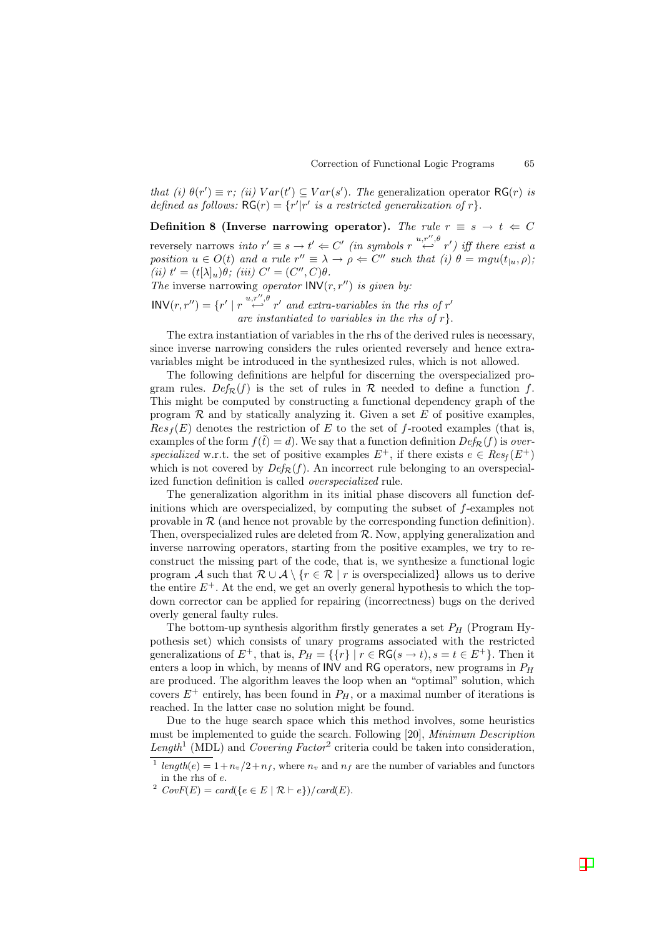*that (i)*  $\theta(r') \equiv r$ ; *(ii)*  $Var(t') \subseteq Var(s')$ . The generalization operator RG(r) *is defined as follows:*  $RG(r) = \{r'|r' \text{ is a restricted generalization of r\}.$ 

**Definition 8 (Inverse narrowing operator).** The rule  $r \equiv s \rightarrow t \Leftarrow C$ reversely narrows *into*  $r' \equiv s \rightarrow t' \Leftarrow C'$  (*in symbols*  $r \stackrel{u,r'',\theta}{\leftrightarrow} r'$ ) *iff there exist a position*  $u \in O(t)$  *and a rule*  $r'' \equiv \lambda \rightarrow \rho \Leftarrow C''$  *such that (i)*  $\theta = mgu(t_{|u}, \rho)$ ;  $(ii)$   $t' = (t[\lambda]_u)\theta$ *;*  $(iii)$   $C' = (C'', C)\theta$ *. The* inverse narrowing *operator*  $INV(r, r'')$  *is given by:*  $\text{INV}(r, r'') = \{r' \mid r \stackrel{u, r'', \theta}{\longleftrightarrow} r' \text{ and extra-variables in the rhs of } r' \}$ 

*are instantiated to variables in the rhs of* r}.

The extra instantiation of variables in the rhs of the derived rules is necessary, since inverse narrowing considers the rules oriented reversely and hence extravariables might be introduced in the synthesized rules, which is not allowed.

The following definitions are helpful for discerning the overspecialized program rules.  $Def_{\mathcal{R}}(f)$  is the set of rules in  $\mathcal{R}$  needed to define a function f. This might be computed by constructing a functional dependency graph of the program  $R$  and by statically analyzing it. Given a set  $E$  of positive examples,  $Res_f(E)$  denotes the restriction of E to the set of f-rooted examples (that is, examples of the form  $f(\tilde{t}) = d$ ). We say that a function definition  $Def_{\mathcal{R}}(f)$  is *overspecialized* w.r.t. the set of positive examples  $E^+$ , if there exists  $e \in Res_f(E^+)$ which is not covered by  $Def_{\mathcal{R}}(f)$ . An incorrect rule belonging to an overspecialized function definition is called *overspecialized* rule.

The generalization algorithm in its initial phase discovers all function definitions which are overspecialized, by computing the subset of f-examples not provable in  $\mathcal R$  (and hence not provable by the corresponding function definition). Then, overspecialized rules are deleted from  $R$ . Now, applying generalization and inverse narrowing operators, starting from the positive examples, we try to reconstruct the missing part of the code, that is, we synthesize a functional logic program A such that  $\mathcal{R}\cup\mathcal{A}\setminus\{r\in\mathcal{R}\mid r\text{ is overspecialized}\}\$ allows us to derive the entire  $E^+$ . At the end, we get an overly general hypothesis to which the topdown corrector can be applied for repairing (incorrectness) bugs on the derived overly general faulty rules.

The bottom-up synthesis algorithm firstly generates a set  $P_H$  (Program Hypothesis set) which consists of unary programs associated with the restricted generalizations of  $E^+$ , that is,  $P_H = \{\{r\} \mid r \in \text{RG}(s \to t), s = t \in E^+\}$ . Then it enters a loop in which, by means of INV and RG operators, new programs in  $P_H$ are produced. The algorithm leaves the loop when an "optimal" solution, which covers  $E^+$  entirely, has been found in  $P_H$ , or a maximal number of iterations is reached. In the latter case no solution might be found.

Due to the huge search space which this method involves, some heuristics must be implemented to guide the search. Following [20], *Minimum Description Length*<sup>1</sup> (MDL) and *Covering Factor*<sup>2</sup> criteria could be taken into consideration,

$$
^{2} CovF(E) = card({e \in E | \mathcal{R} \vdash e}) / card(E).
$$

<sup>&</sup>lt;sup>1</sup> length(e) =  $1+n_v/2+n_f$ , where  $n_v$  and  $n_f$  are the number of variables and functors in the rhs of e.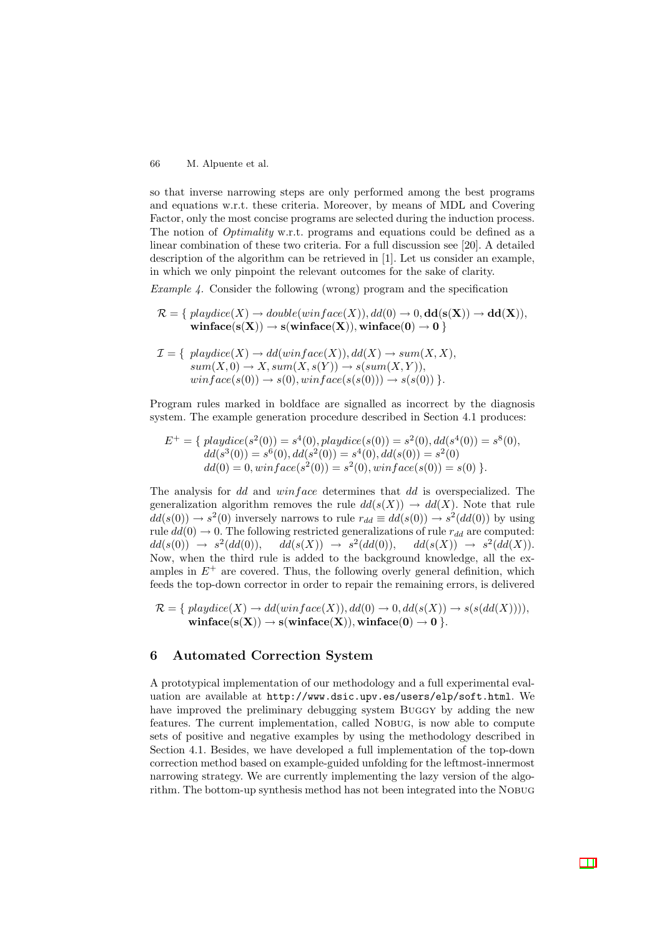so that inverse narrowing steps are only performed among the best programs and equations w.r.t. these criteria. Moreover, by means of MDL and Covering Factor, only the most concise programs are selected during the induction process. The notion of *Optimality* w.r.t. programs and equations could be defined as a linear combination of these two criteria. For a full discussion see [20]. A detailed description of the algorithm can be retrieved in [1]. Let us consider an example, in which we only pinpoint the relevant outcomes for the sake of clarity.

*Example 4.* Consider the following (wrong) program and the specification

$$
\mathcal{R} = \{ \text{ \textit{playdice}(X) \rightarrow double}(\text{winface}(X)), \text{dd}(0) \rightarrow 0, \text{dd}(s(X)) \rightarrow \text{dd}(X)), \text{ \textbf{winface}(s(X)) \rightarrow s}(\text{winface}(X)), \text{winface}(0) \rightarrow 0 \}
$$

$$
\mathcal{I} = \{ \quad playdice(X) \rightarrow dd(winface(X)), dd(X) \rightarrow sum(X, X), \\ sum(X, 0) \rightarrow X, sum(X, s(Y)) \rightarrow s(sum(X, Y)), \\ winface(s(0)) \rightarrow s(0), winface(s(s(0))) \rightarrow s(s(0)) \}.
$$

Program rules marked in boldface are signalled as incorrect by the diagnosis system. The example generation procedure described in Section 4.1 produces:

$$
E^{+} = \{ \text{ \textit{playdice}}(s^{2}(0)) = s^{4}(0), \text{ \textit{playdice}}(s(0)) = s^{2}(0), \text{ \textit{dd}}(s^{4}(0)) = s^{8}(0),
$$
\n
$$
\text{ \textit{dd}}(s^{3}(0)) = s^{6}(0), \text{ \textit{dd}}(s^{2}(0)) = s^{4}(0), \text{ \textit{dd}}(s(0)) = s^{2}(0),
$$
\n
$$
\text{ \textit{dd}}(0) = 0, \text{ \textit{winface}}(s^{2}(0)) = s^{2}(0), \text{ \textit{winface}}(s(0)) = s(0) \}.
$$

The analysis for dd and winface determines that dd is overspecialized. The generalization algorithm removes the rule  $dd(s(X)) \to dd(X)$ . Note that rule  $dd(s(0)) \rightarrow s^2(0)$  inversely narrows to rule  $r_{dd} \equiv dd(s(0)) \rightarrow s^2(dd(0))$  by using rule  $dd(0) \rightarrow 0$ . The following restricted generalizations of rule  $r_{dd}$  are computed:  $dd(s(0)) \rightarrow s^2(dd(0)), \quad dd(s(X)) \rightarrow s^2(dd(0)), \quad dd(s(X)) \rightarrow s^2(dd(X)).$ Now, when the third rule is added to the background knowledge, all the examples in  $E^+$  are covered. Thus, the following overly general definition, which feeds the top-down corrector in order to repair the remaining errors, is delivered

$$
\mathcal{R} = \{ \text{ \textit{playdice}(X)} \rightarrow \textit{dd}(\textit{winface}(X)), \textit{dd}(0) \rightarrow 0, \textit{dd}(s(X)) \rightarrow s(s(\textit{dd}(X)))) \},
$$
  

$$
\textbf{winface}(s(X)) \rightarrow s(\textbf{winface}(X)), \textbf{winface}(0) \rightarrow 0 \}.
$$

### **6 Automated Correction System**

A prototypical implementation of our methodology and a full experimental evaluation are available at http://www.dsic.upv.es/users/elp/soft.html. We have improved the preliminary debugging system Buggy by adding the new features. The current implementation, called Nobug, is now able to compute sets of positive and negative examples by using the methodology described in Section 4.1. Besides, we have developed a full implementation of the top-down correction method based on example-guided unfolding for the leftmost-innermost narrowing strategy. We are currently implementing the lazy version of the algorithm. The bottom-up synthesis method has not been integrated into the Nobug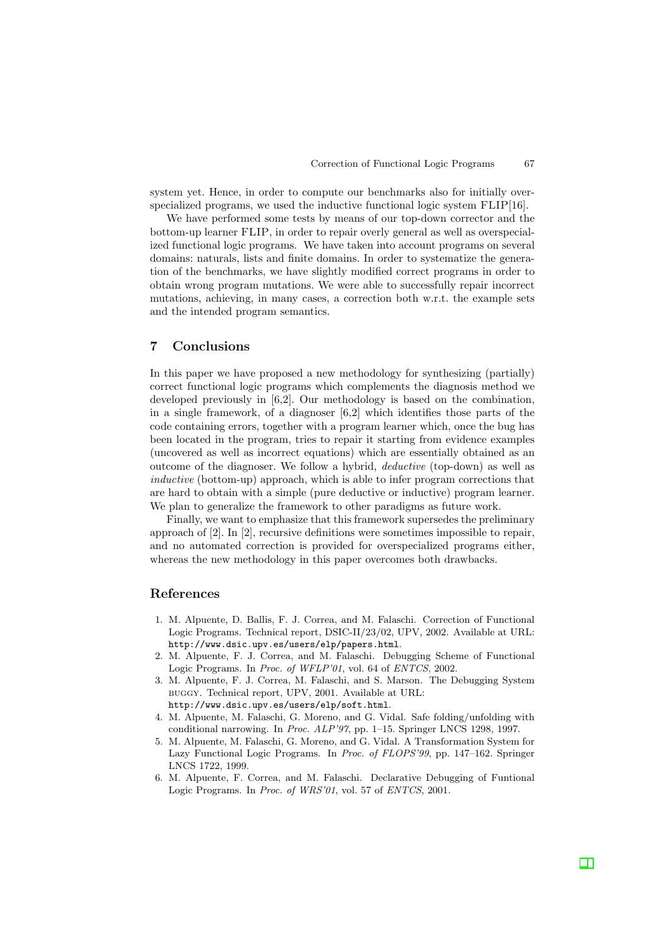system yet. Hence, in order to compute our benchmarks also for initially overspecialized programs, we used the inductive functional logic system FLIP[16].

We have performed some tests by means of our top-down corrector and the bottom-up learner FLIP, in order to repair overly general as well as overspecialized functional logic programs. We have taken into account programs on several domains: naturals, lists and finite domains. In order to systematize the generation of the benchmarks, we have slightly modified correct programs in order to obtain wrong program mutations. We were able to successfully repair incorrect mutations, achieving, in many cases, a correction both w.r.t. the example sets and the intended program semantics.

### **7 Conclusions**

In this paper we have proposed a new methodology for synthesizing (partially) correct functional logic programs which complements the diagnosis method we developed previously in [6,2]. Our methodology is based on the combination, in a single framework, of a diagnoser [6,2] which identifies those parts of the code containing errors, together with a program learner which, once the bug has been located in the program, tries to repair it starting from evidence examples (uncovered as well as incorrect equations) which are essentially obtained as an outcome of the diagnoser. We follow a hybrid, *deductive* (top-down) as well as *inductive* (bottom-up) approach, which is able to infer program corrections that are hard to obtain with a simple (pure deductive or inductive) program learner. We plan to generalize the framework to other paradigms as future work.

Finally, we want to emphasize that this framework supersedes the preliminary approach of [2]. In [2], recursive definitions were sometimes impossible to repair, and no automated correction is provided for overspecialized programs either, whereas the new methodology in this paper overcomes both drawbacks.

### **References**

- 1. M. Alpuente, D. Ballis, F. J. Correa, and M. Falaschi. Correction of Functional Logic Programs. Technical report, DSIC-II/23/02, UPV, 2002. Available at URL: http://www.dsic.upv.es/users/elp/papers.html.
- 2. M. Alpuente, F. J. Correa, and M. Falaschi. Debugging Scheme of Functional Logic Programs. In *Proc. of WFLP'01*, vol. 64 of *ENTCS*, 2002.
- 3. M. Alpuente, F. J. Correa, M. Falaschi, and S. Marson. The Debugging System buggy. Technical report, UPV, 2001. Available at URL: http://www.dsic.upv.es/users/elp/soft.html.
- 4. M. Alpuente, M. Falaschi, G. Moreno, and G. Vidal. Safe folding/unfolding with conditional narrowing. In Proc. ALP'97, pp. 1–15. Springer LNCS 1298, 1997.
- 5. M. Alpuente, M. Falaschi, G. Moreno, and G. Vidal. A Transformation System for Lazy Functional Logic Programs. In Proc. of FLOPS'99, pp. 147–162. Springer LNCS 1722, 1999.
- 6. M. Alpuente, F. Correa, and M. Falaschi. Declarative Debugging of Funtional Logic Programs. In Proc. of WRS'01, vol. 57 of ENTCS, 2001.